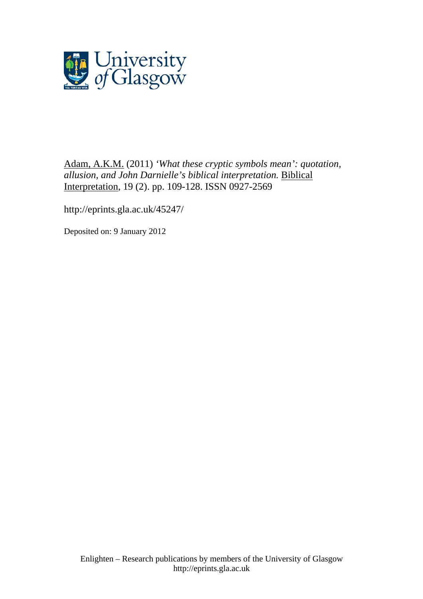

[Adam, A.K.M.](http://eprints.gla.ac.uk/view/author/2166.html) (2011) *'What these cryptic symbols mean': quotation, allusion, and John Darnielle's biblical interpretation.* [Biblical](http://eprints.gla.ac.uk/view/journal_volume/Biblical_Interpretation.html)  [Interpretation](http://eprints.gla.ac.uk/view/journal_volume/Biblical_Interpretation.html), 19 (2). pp. 109-128. ISSN 0927-2569

<http://eprints.gla.ac.uk/45247/>

Deposited on: 9 January 2012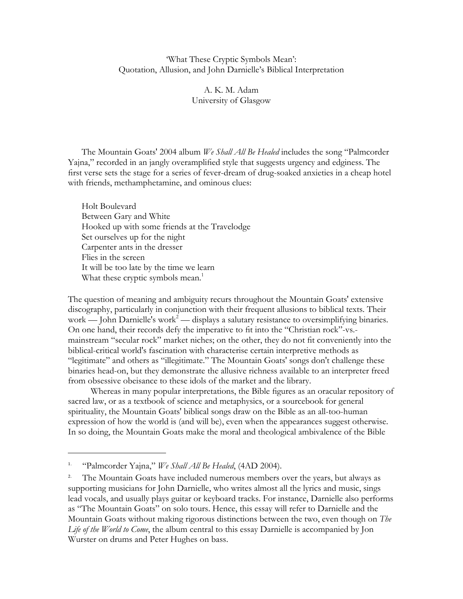## 'What These Cryptic Symbols Mean': Quotation, Allusion, and John Darnielle's Biblical Interpretation

A. K. M. Adam University of Glasgow

The Mountain Goats' 2004 album *We Shall All Be Healed* includes the song "Palmcorder Yajna," recorded in an jangly overamplified style that suggests urgency and edginess. The first verse sets the stage for a series of fever-dream of drug-soaked anxieties in a cheap hotel with friends, methamphetamine, and ominous clues:

Holt Boulevard Between Gary and White Hooked up with some friends at the Travelodge Set ourselves up for the night Carpenter ants in the dresser Flies in the screen It will be too late by the time we learn What these cryptic symbols mean.<sup>1</sup>

The question of meaning and ambiguity recurs throughout the Mountain Goats' extensive discography, particularly in conjunction with their frequent allusions to biblical texts. Their work — John Darnielle's work<sup>2</sup> — displays a salutary resistance to oversimplifying binaries. On one hand, their records defy the imperative to fit into the "Christian rock"-vs. mainstream "secular rock" market niches; on the other, they do not fit conveniently into the biblical-critical world's fascination with characterise certain interpretive methods as "legitimate" and others as "illegitimate." The Mountain Goats' songs don't challenge these binaries head-on, but they demonstrate the allusive richness available to an interpreter freed from obsessive obeisance to these idols of the market and the library.

 Whereas in many popular interpretations, the Bible figures as an oracular repository of sacred law, or as a textbook of science and metaphysics, or a sourcebook for general spirituality, the Mountain Goats' biblical songs draw on the Bible as an all-too-human expression of how the world is (and will be), even when the appearances suggest otherwise. In so doing, the Mountain Goats make the moral and theological ambivalence of the Bible

<sup>1.</sup> "Palmcorder Yajna," *We Shall All Be Healed*, (4AD 2004).

<sup>&</sup>lt;sup>2.</sup> The Mountain Goats have included numerous members over the years, but always as supporting musicians for John Darnielle, who writes almost all the lyrics and music, sings lead vocals, and usually plays guitar or keyboard tracks. For instance, Darnielle also performs as "The Mountain Goats" on solo tours. Hence, this essay will refer to Darnielle and the Mountain Goats without making rigorous distinctions between the two, even though on *The Life of the World to Come*, the album central to this essay Darnielle is accompanied by Jon Wurster on drums and Peter Hughes on bass.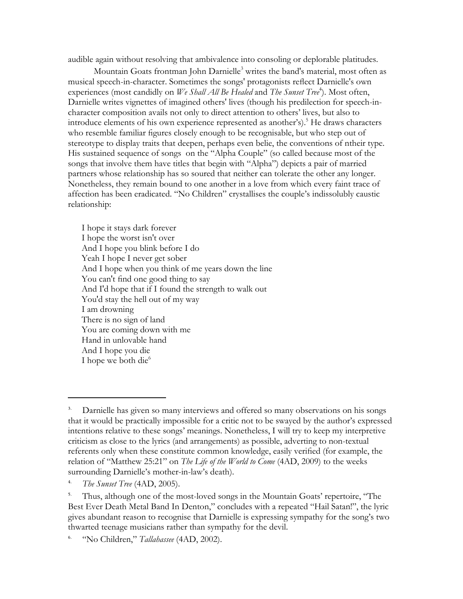audible again without resolving that ambivalence into consoling or deplorable platitudes.

Mountain Goats frontman John Darnielle<sup>3</sup> writes the band's material, most often as musical speech-in-character. Sometimes the songs' protagonists reflect Darnielle's own experiences (most candidly on *We Shall All Be Healed* and *The Sunset Tree<sup>4</sup>*). Most often, Darnielle writes vignettes of imagined others' lives (though his predilection for speech-incharacter composition avails not only to direct attention to others' lives, but also to introduce elements of his own experience represented as another's).<sup>5</sup> He draws characters who resemble familiar figures closely enough to be recognisable, but who step out of stereotype to display traits that deepen, perhaps even belie, the conventions of ntheir type. His sustained sequence of songs on the "Alpha Couple" (so called because most of the songs that involve them have titles that begin with "Alpha") depicts a pair of married partners whose relationship has so soured that neither can tolerate the other any longer. Nonetheless, they remain bound to one another in a love from which every faint trace of affection has been eradicated. "No Children" crystallises the couple's indissolubly caustic relationship:

I hope it stays dark forever I hope the worst isn't over And I hope you blink before I do Yeah I hope I never get sober And I hope when you think of me years down the line You can't find one good thing to say And I'd hope that if I found the strength to walk out You'd stay the hell out of my way I am drowning There is no sign of land You are coming down with me Hand in unlovable hand And I hope you die I hope we both die $<sup>6</sup>$ </sup>

<sup>&</sup>lt;sup>3.</sup> Darnielle has given so many interviews and offered so many observations on his songs that it would be practically impossible for a critic not to be swayed by the author's expressed intentions relative to these songs' meanings. Nonetheless, I will try to keep my interpretive criticism as close to the lyrics (and arrangements) as possible, adverting to non-textual referents only when these constitute common knowledge, easily verified (for example, the relation of "Matthew 25:21" on *The Life of the World to Come* (4AD, 2009) to the weeks surrounding Darnielle's mother-in-law's death).

<sup>4.</sup> *The Sunset Tree* (4AD, 2005).

<sup>&</sup>lt;sup>5.</sup> Thus, although one of the most-loved songs in the Mountain Goats' repertoire, "The Best Ever Death Metal Band In Denton," concludes with a repeated "Hail Satan!", the lyric gives abundant reason to recognise that Darnielle is expressing sympathy for the song's two thwarted teenage musicians rather than sympathy for the devil.

<sup>6.</sup> "No Children," *Tallahassee* (4AD, 2002).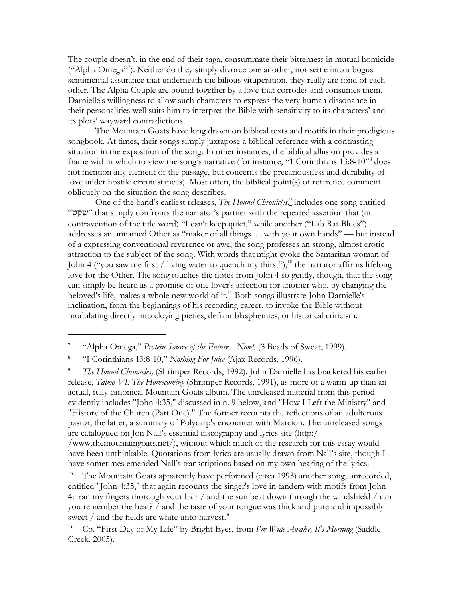The couple doesn't, in the end of their saga, consummate their bitterness in mutual homicide ("Alpha Omega"7 ). Neither do they simply divorce one another, nor settle into a bogus sentimental assurance that underneath the bilious vituperation, they really are fond of each other. The Alpha Couple are bound together by a love that corrodes and consumes them. Darnielle's willingness to allow such characters to express the very human dissonance in their personalities well suits him to interpret the Bible with sensitivity to its characters' and its plots' wayward contradictions.

The Mountain Goats have long drawn on biblical texts and motifs in their prodigious songbook. At times, their songs simply juxtapose a biblical reference with a contrasting situation in the exposition of the song. In other instances, the biblical allusion provides a frame within which to view the song's narrative (for instance, "1 Corinthians 13:8-10"<sup>8</sup> does not mention any element of the passage, but concerns the precariousness and durability of love under hostile circumstances). Most often, the biblical point(s) of reference comment obliquely on the situation the song describes.

One of the band's earliest releases, *The Hound Chronicles*,<sup>2</sup> includes one song entitled "שקט "that simply confronts the narrator's partner with the repeated assertion that (in contravention of the title word) "I can't keep quiet," while another ("Lab Rat Blues") addresses an unnamed Other as "maker of all things. . . with your own hands" — but instead of a expressing conventional reverence or awe, the song professes an strong, almost erotic attraction to the subject of the song. With words that might evoke the Samaritan woman of John 4 ("you saw me first / living water to quench my thirst"),<sup>10</sup> the narrator affirms lifelong love for the Other. The song touches the notes from John 4 so gently, though, that the song can simply be heard as a promise of one lover's affection for another who, by changing the beloved's life, makes a whole new world of it.<sup>11</sup> Both songs illustrate John Darnielle's inclination, from the beginnings of his recording career, to invoke the Bible without modulating directly into cloying pieties, defiant blasphemies, or historical criticism.

<sup>9.</sup> *The Hound Chronicles, (Shrimper Records, 1992). John Darnielle has bracketed his earlier* release, *Taboo VI: The Homecoming* (Shrimper Records, 1991), as more of a warm-up than an actual, fully canonical Mountain Goats album. The unreleased material from this period evidently includes "John 4:35," discussed in n. 9 below, and "How I Left the Ministry" and "History of the Church (Part One)." The former recounts the reflections of an adulterous pastor; the latter, a summary of Polycarp's encounter with Marcion. The unreleased songs are catalogued on Jon Nall's essential discography and lyrics site (http:/

/www.themountaingoats.net/), without which much of the research for this essay would have been unthinkable. Quotations from lyrics are usually drawn from Nall's site, though I have sometimes emended Nall's transcriptions based on my own hearing of the lyrics.

The Mountain Goats apparently have performed (circa 1993) another song, unrecorded, entitled "John 4:35," that again recounts the singer's love in tandem with motifs from John 4: ran my fingers thorough your hair / and the sun beat down through the windshield / can you remember the heat? / and the taste of your tongue was thick and pure and impossibly sweet / and the fields are white unto harvest."

<sup>7.</sup> "Alpha Omega," *Protein Source of the Future... Now!*, (3 Beads of Sweat, 1999).

<sup>8.</sup> "I Corinthians 13:8-10," *Nothing For Juice* (Ajax Records, 1996).

<sup>11.</sup> Cp. "First Day of My Life" by Bright Eyes, from *I'm Wide Awake, It's Morning* (Saddle Creek, 2005).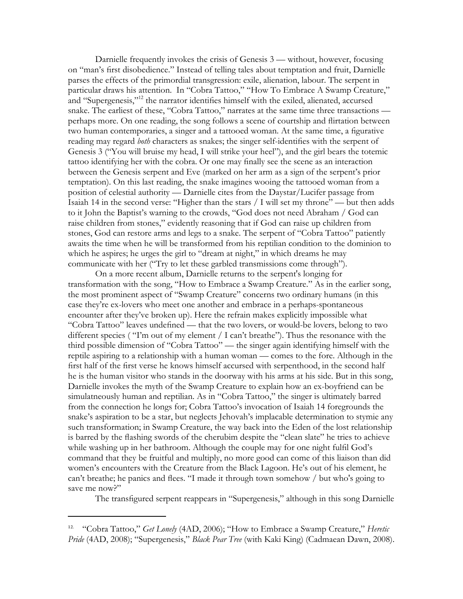Darnielle frequently invokes the crisis of Genesis 3 — without, however, focusing on "man's first disobedience." Instead of telling tales about temptation and fruit, Darnielle parses the effects of the primordial transgression: exile, alienation, labour. The serpent in particular draws his attention. In "Cobra Tattoo," "How To Embrace A Swamp Creature," and "Supergenesis,"<sup>12</sup> the narrator identifies himself with the exiled, alienated, accursed snake. The earliest of these, "Cobra Tattoo," narrates at the same time three transactions perhaps more. On one reading, the song follows a scene of courtship and flirtation between two human contemporaries, a singer and a tattooed woman. At the same time, a figurative reading may regard *both* characters as snakes; the singer self-identifies with the serpent of Genesis 3 ("You will bruise my head, I will strike your heel"), and the girl bears the totemic tattoo identifying her with the cobra. Or one may finally see the scene as an interaction between the Genesis serpent and Eve (marked on her arm as a sign of the serpent's prior temptation). On this last reading, the snake imagines wooing the tattooed woman from a position of celestial authority — Darnielle cites from the Daystar/Lucifer passage from Isaiah 14 in the second verse: "Higher than the stars / I will set my throne" — but then adds to it John the Baptist's warning to the crowds, "God does not need Abraham / God can raise children from stones," evidently reasoning that if God can raise up children from stones, God can restore arms and legs to a snake. The serpent of "Cobra Tattoo" patiently awaits the time when he will be transformed from his reptilian condition to the dominion to which he aspires; he urges the girl to "dream at night," in which dreams he may communicate with her ("Try to let these garbled transmissions come through").

On a more recent album, Darnielle returns to the serpent's longing for transformation with the song, "How to Embrace a Swamp Creature." As in the earlier song, the most prominent aspect of "Swamp Creature" concerns two ordinary humans (in this case they're ex-lovers who meet one another and embrace in a perhaps-spontaneous encounter after they've broken up). Here the refrain makes explicitly impossible what "Cobra Tattoo" leaves undefined — that the two lovers, or would-be lovers, belong to two different species ( "I'm out of my element / I can't breathe"). Thus the resonance with the third possible dimension of "Cobra Tattoo" — the singer again identifying himself with the reptile aspiring to a relationship with a human woman — comes to the fore. Although in the first half of the first verse he knows himself accursed with serpenthood, in the second half he is the human visitor who stands in the doorway with his arms at his side. But in this song, Darnielle invokes the myth of the Swamp Creature to explain how an ex-boyfriend can be simulatneously human and reptilian. As in "Cobra Tattoo," the singer is ultimately barred from the connection he longs for; Cobra Tattoo's invocation of Isaiah 14 foregrounds the snake's aspiration to be a star, but neglects Jehovah's implacable determination to stymie any such transformation; in Swamp Creature, the way back into the Eden of the lost relationship is barred by the flashing swords of the cherubim despite the "clean slate" he tries to achieve while washing up in her bathroom. Although the couple may for one night fulfil God's command that they be fruitful and multiply, no more good can come of this liaison than did women's encounters with the Creature from the Black Lagoon. He's out of his element, he can't breathe; he panics and flees. "I made it through town somehow / but who's going to save me now?"

The transfigured serpent reappears in "Supergenesis," although in this song Darnielle

<sup>12.</sup> "Cobra Tattoo," *Get Lonely* (4AD, 2006); "How to Embrace a Swamp Creature," *Heretic Pride* (4AD, 2008); "Supergenesis," *Black Pear Tree* (with Kaki King) (Cadmaean Dawn, 2008).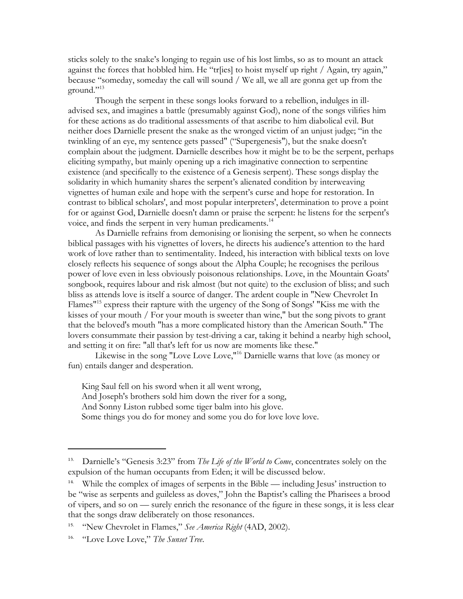sticks solely to the snake's longing to regain use of his lost limbs, so as to mount an attack against the forces that hobbled him. He "trities" to hoist myself up right / Again, try again," because "someday, someday the call will sound / We all, we all are gonna get up from the ground."<sup>13</sup>

Though the serpent in these songs looks forward to a rebellion, indulges in illadvised sex, and imagines a battle (presumably against God), none of the songs vilifies him for these actions as do traditional assessments of that ascribe to him diabolical evil. But neither does Darnielle present the snake as the wronged victim of an unjust judge; "in the twinkling of an eye, my sentence gets passed" ("Supergenesis"), but the snake doesn't complain about the judgment. Darnielle describes how it might be to be the serpent, perhaps eliciting sympathy, but mainly opening up a rich imaginative connection to serpentine existence (and specifically to the existence of a Genesis serpent). These songs display the solidarity in which humanity shares the serpent's alienated condition by interweaving vignettes of human exile and hope with the serpent's curse and hope for restoration. In contrast to biblical scholars', and most popular interpreters', determination to prove a point for or against God, Darnielle doesn't damn or praise the serpent: he listens for the serpent's voice, and finds the serpent in very human predicaments.<sup>14</sup>

As Darnielle refrains from demonising or lionising the serpent, so when he connects biblical passages with his vignettes of lovers, he directs his audience's attention to the hard work of love rather than to sentimentality. Indeed, his interaction with biblical texts on love closely reflects his sequence of songs about the Alpha Couple; he recognises the perilous power of love even in less obviously poisonous relationships. Love, in the Mountain Goats' songbook, requires labour and risk almost (but not quite) to the exclusion of bliss; and such bliss as attends love is itself a source of danger. The ardent couple in "New Chevrolet In Flames"15 express their rapture with the urgency of the Song of Songs' "Kiss me with the kisses of your mouth / For your mouth is sweeter than wine," but the song pivots to grant that the beloved's mouth "has a more complicated history than the American South." The lovers consummate their passion by test-driving a car, taking it behind a nearby high school, and setting it on fire: "all that's left for us now are moments like these."

Likewise in the song "Love Love Love,"16 Darnielle warns that love (as money or fun) entails danger and desperation.

King Saul fell on his sword when it all went wrong, And Joseph's brothers sold him down the river for a song, And Sonny Liston rubbed some tiger balm into his glove. Some things you do for money and some you do for love love love.

<sup>13.</sup> Darnielle's "Genesis 3:23" from *The Life of the World to Come*, concentrates solely on the expulsion of the human occupants from Eden; it will be discussed below.

<sup>&</sup>lt;sup>14.</sup> While the complex of images of serpents in the Bible — including Jesus' instruction to be "wise as serpents and guileless as doves," John the Baptist's calling the Pharisees a brood of vipers, and so on — surely enrich the resonance of the figure in these songs, it is less clear that the songs draw deliberately on those resonances.

<sup>15.</sup> "New Chevrolet in Flames," *See America Right* (4AD, 2002).

<sup>16.</sup> "Love Love Love," *The Sunset Tree*.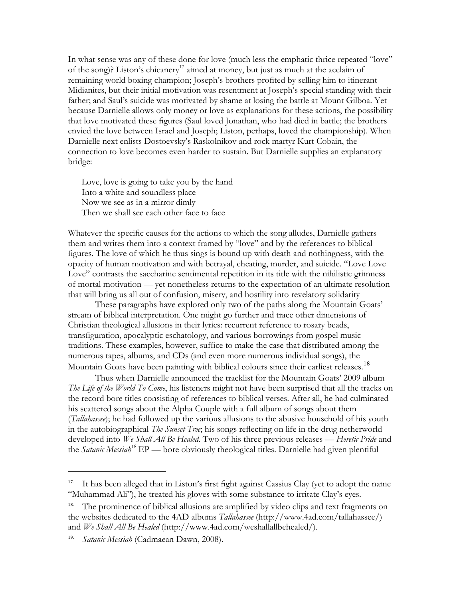In what sense was any of these done for love (much less the emphatic thrice repeated "love" of the song)? Liston's chicanery<sup>17</sup> aimed at money, but just as much at the acclaim of remaining world boxing champion; Joseph's brothers profited by selling him to itinerant Midianites, but their initial motivation was resentment at Joseph's special standing with their father; and Saul's suicide was motivated by shame at losing the battle at Mount Gilboa. Yet because Darnielle allows only money or love as explanations for these actions, the possibility that love motivated these figures (Saul loved Jonathan, who had died in battle; the brothers envied the love between Israel and Joseph; Liston, perhaps, loved the championship). When Darnielle next enlists Dostoevsky's Raskolnikov and rock martyr Kurt Cobain, the connection to love becomes even harder to sustain. But Darnielle supplies an explanatory bridge:

Love, love is going to take you by the hand Into a white and soundless place Now we see as in a mirror dimly Then we shall see each other face to face

Whatever the specific causes for the actions to which the song alludes, Darnielle gathers them and writes them into a context framed by "love" and by the references to biblical figures. The love of which he thus sings is bound up with death and nothingness, with the opacity of human motivation and with betrayal, cheating, murder, and suicide. "Love Love Love" contrasts the saccharine sentimental repetition in its title with the nihilistic grimness of mortal motivation — yet nonetheless returns to the expectation of an ultimate resolution that will bring us all out of confusion, misery, and hostility into revelatory solidarity

These paragraphs have explored only two of the paths along the Mountain Goats' stream of biblical interpretation. One might go further and trace other dimensions of Christian theological allusions in their lyrics: recurrent reference to rosary beads, transfiguration, apocalyptic eschatology, and various borrowings from gospel music traditions. These examples, however, suffice to make the case that distributed among the numerous tapes, albums, and CDs (and even more numerous individual songs), the Mountain Goats have been painting with biblical colours since their earliest releases.<sup>18</sup>

Thus when Darnielle announced the tracklist for the Mountain Goats' 2009 album *The Life of the World To Come*, his listeners might not have been surprised that all the tracks on the record bore titles consisting of references to biblical verses. After all, he had culminated his scattered songs about the Alpha Couple with a full album of songs about them (*Tallahassee*); he had followed up the various allusions to the abusive household of his youth in the autobiographical *The Sunset Tree*; his songs reflecting on life in the drug netherworld developed into *We Shall All Be Healed*. Two of his three previous releases — *Heretic Pride* and the *Satanic Messiah<sup>19</sup>* EP — bore obviously theological titles. Darnielle had given plentiful

It has been alleged that in Liston's first fight against Cassius Clay (yet to adopt the name "Muhammad Ali"), he treated his gloves with some substance to irritate Clay's eyes.

<sup>&</sup>lt;sup>18.</sup> The prominence of biblical allusions are amplified by video clips and text fragments on the websites dedicated to the 4AD albums *Tallahassee* (http://www.4ad.com/tallahassee/) and *We Shall All Be Healed* (http://www.4ad.com/weshallallbehealed/).

<sup>19.</sup> *Satanic Messiah* (Cadmaean Dawn, 2008).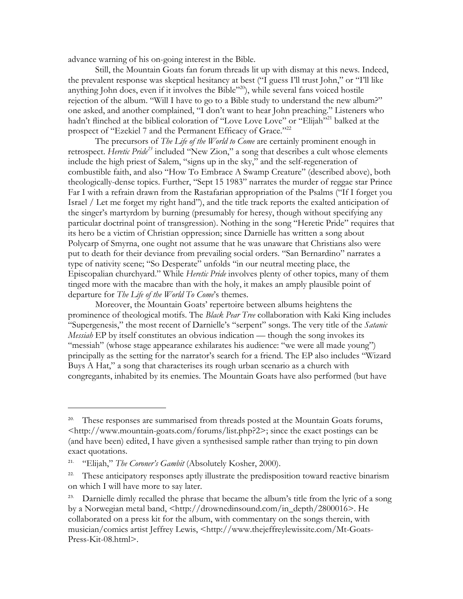advance warning of his on-going interest in the Bible.

Still, the Mountain Goats fan forum threads lit up with dismay at this news. Indeed, the prevalent response was skeptical hesitancy at best ("I guess I'll trust John," or "I'll like anything John does, even if it involves the Bible"<sup>20</sup>), while several fans voiced hostile rejection of the album. "Will I have to go to a Bible study to understand the new album?" one asked, and another complained, "I don't want to hear John preaching." Listeners who hadn't flinched at the biblical coloration of "Love Love Love" or "Elijah"<sup>21</sup> balked at the prospect of "Ezekiel 7 and the Permanent Efficacy of Grace."<sup>22</sup>

The precursors of *The Life of the World to Come* are certainly prominent enough in retrospect. *Heretic Pride<sup>23</sup>* included "New Zion," a song that describes a cult whose elements include the high priest of Salem, "signs up in the sky," and the self-regeneration of combustible faith, and also "How To Embrace A Swamp Creature" (described above), both theologically-dense topics. Further, "Sept 15 1983" narrates the murder of reggae star Prince Far I with a refrain drawn from the Rastafarian appropriation of the Psalms ("If I forget you Israel / Let me forget my right hand"), and the title track reports the exalted anticipation of the singer's martyrdom by burning (presumably for heresy, though without specifying any particular doctrinal point of transgression). Nothing in the song "Heretic Pride" requires that its hero be a victim of Christian oppression; since Darnielle has written a song about Polycarp of Smyrna, one ought not assume that he was unaware that Christians also were put to death for their deviance from prevailing social orders. "San Bernardino" narrates a type of nativity scene; "So Desperate" unfolds "in our neutral meeting place, the Episcopalian churchyard." While *Heretic Pride* involves plenty of other topics, many of them tinged more with the macabre than with the holy, it makes an amply plausible point of departure for *The Life of the World To Come*'s themes.

Moreover, the Mountain Goats' repertoire between albums heightens the prominence of theological motifs. The *Black Pear Tree* collaboration with Kaki King includes "Supergenesis," the most recent of Darnielle's "serpent" songs. The very title of the *Satanic Messiah* EP by itself constitutes an obvious indication — though the song invokes its "messiah" (whose stage appearance exhilarates his audience: "we were all made young") principally as the setting for the narrator's search for a friend. The EP also includes "Wizard Buys A Hat," a song that characterises its rough urban scenario as a church with congregants, inhabited by its enemies. The Mountain Goats have also performed (but have

<sup>&</sup>lt;sup>20.</sup> These responses are summarised from threads posted at the Mountain Goats forums,  $\langle$ http://www.mountain-goats.com/forums/list.php?2>; since the exact postings can be (and have been) edited, I have given a synthesised sample rather than trying to pin down exact quotations.

<sup>&</sup>lt;sup>21.</sup> "Elijah," *The Coroner's Gambit* (Absolutely Kosher, 2000).

These anticipatory responses aptly illustrate the predisposition toward reactive binarism on which I will have more to say later.

<sup>&</sup>lt;sup>23.</sup> Darnielle dimly recalled the phrase that became the album's title from the lyric of a song by a Norwegian metal band, <http://drownedinsound.com/in\_depth/2800016>. He collaborated on a press kit for the album, with commentary on the songs therein, with musician/comics artist Jeffrey Lewis, <http://www.thejeffreylewissite.com/Mt-Goats-Press-Kit-08.html>.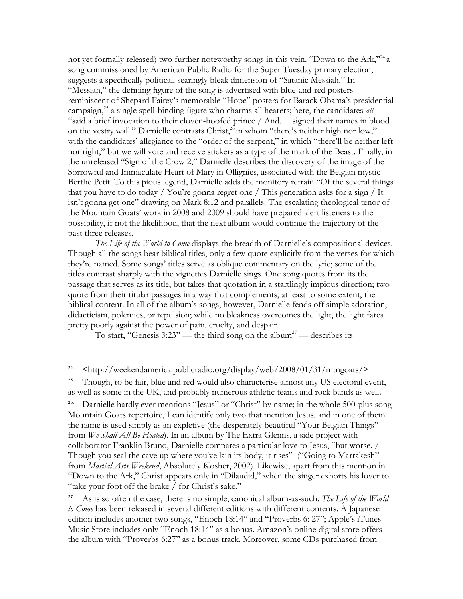not yet formally released) two further noteworthy songs in this vein. "Down to the Ark,"<sup>24</sup> a song commissioned by American Public Radio for the Super Tuesday primary election, suggests a specifically political, searingly bleak dimension of "Satanic Messiah." In "Messiah," the defining figure of the song is advertised with blue-and-red posters reminiscent of Shepard Fairey's memorable "Hope" posters for Barack Obama's presidential campaign,25 a single spell-binding figure who charms all hearers; here, the candidates *all* "said a brief invocation to their cloven-hoofed prince / And. . . signed their names in blood on the vestry wall." Darnielle contrasts Christ,<sup>26</sup> in whom "there's neither high nor low," with the candidates' allegiance to the "order of the serpent," in which "there'll be neither left nor right," but we will vote and receive stickers as a type of the mark of the Beast. Finally, in the unreleased "Sign of the Crow 2," Darnielle describes the discovery of the image of the Sorrowful and Immaculate Heart of Mary in Ollignies, associated with the Belgian mystic Berthe Petit. To this pious legend, Darnielle adds the monitory refrain "Of the several things that you have to do today / You're gonna regret one / This generation asks for a sign / It isn't gonna get one" drawing on Mark 8:12 and parallels. The escalating theological tenor of the Mountain Goats' work in 2008 and 2009 should have prepared alert listeners to the possibility, if not the likelihood, that the next album would continue the trajectory of the past three releases.

*The Life of the World to Come* displays the breadth of Darnielle's compositional devices. Though all the songs bear biblical titles, only a few quote explicitly from the verses for which they're named. Some songs' titles serve as oblique commentary on the lyric; some of the titles contrast sharply with the vignettes Darnielle sings. One song quotes from its the passage that serves as its title, but takes that quotation in a startlingly impious direction; two quote from their titular passages in a way that complements, at least to some extent, the biblical content. In all of the album's songs, however, Darnielle fends off simple adoration, didacticism, polemics, or repulsion; while no bleakness overcomes the light, the light fares pretty poorly against the power of pain, cruelty, and despair.

To start, "Genesis 3:23" — the third song on the album<sup>27</sup> — describes its

<sup>&</sup>lt;sup>24.</sup>  $\lt{http://weekendamerica.publicradio.org/display/web/2008/01/31/mtngoats/>$ 

<sup>&</sup>lt;sup>25.</sup> Though, to be fair, blue and red would also characterise almost any US electoral event, as well as some in the UK, and probably numerous athletic teams and rock bands as well.

<sup>&</sup>lt;sup>26.</sup> Darnielle hardly ever mentions "Jesus" or "Christ" by name; in the whole 500-plus song Mountain Goats repertoire, I can identify only two that mention Jesus, and in one of them the name is used simply as an expletive (the desperately beautiful "Your Belgian Things" from *We Shall All Be Healed*). In an album by The Extra Glenns, a side project with collaborator Franklin Bruno, Darnielle compares a particular love to Jesus, "but worse. / Though you seal the cave up where you've lain its body, it rises" ("Going to Marrakesh" from *Martial Arts Weekend*, Absolutely Kosher, 2002). Likewise, apart from this mention in "Down to the Ark," Christ appears only in "Dilaudid," when the singer exhorts his lover to "take your foot off the brake / for Christ's sake."

<sup>27.</sup> As is so often the case, there is no simple, canonical album-as-such. *The Life of the World to Come* has been released in several different editions with different contents. A Japanese edition includes another two songs, "Enoch 18:14" and "Proverbs 6: 27"; Apple's iTunes Music Store includes only "Enoch 18:14" as a bonus. Amazon's online digital store offers the album with "Proverbs 6:27" as a bonus track. Moreover, some CDs purchased from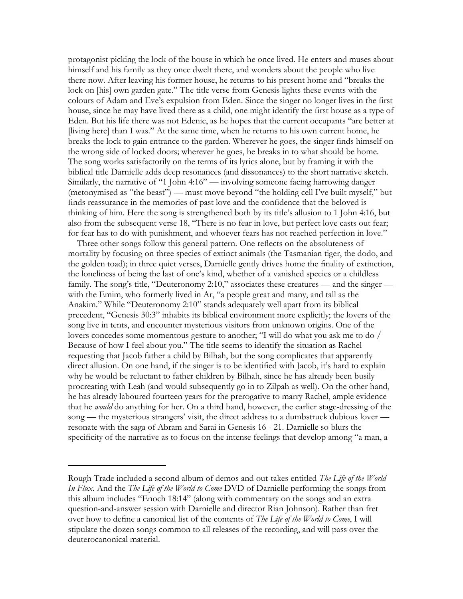protagonist picking the lock of the house in which he once lived. He enters and muses about himself and his family as they once dwelt there, and wonders about the people who live there now. After leaving his former house, he returns to his present home and "breaks the lock on [his] own garden gate." The title verse from Genesis lights these events with the colours of Adam and Eve's expulsion from Eden. Since the singer no longer lives in the first house, since he may have lived there as a child, one might identify the first house as a type of Eden. But his life there was not Edenic, as he hopes that the current occupants "are better at [living here] than I was." At the same time, when he returns to his own current home, he breaks the lock to gain entrance to the garden. Wherever he goes, the singer finds himself on the wrong side of locked doors; wherever he goes, he breaks in to what should be home. The song works satisfactorily on the terms of its lyrics alone, but by framing it with the biblical title Darnielle adds deep resonances (and dissonances) to the short narrative sketch. Similarly, the narrative of "1 John 4:16" — involving someone facing harrowing danger (metonymised as "the beast") — must move beyond "the holding cell I've built myself," but finds reassurance in the memories of past love and the confidence that the beloved is thinking of him. Here the song is strengthened both by its title's allusion to 1 John 4:16, but also from the subsequent verse 18, "There is no fear in love, but perfect love casts out fear; for fear has to do with punishment, and whoever fears has not reached perfection in love."

 Three other songs follow this general pattern. One reflects on the absoluteness of mortality by focusing on three species of extinct animals (the Tasmanian tiger, the dodo, and the golden toad); in three quiet verses, Darnielle gently drives home the finality of extinction, the loneliness of being the last of one's kind, whether of a vanished species or a childless family. The song's title, "Deuteronomy 2:10," associates these creatures — and the singer with the Emim, who formerly lived in Ar, "a people great and many, and tall as the Anakim." While "Deuteronomy 2:10" stands adequately well apart from its biblical precedent, "Genesis 30:3" inhabits its biblical environment more explicitly; the lovers of the song live in tents, and encounter mysterious visitors from unknown origins. One of the lovers concedes some momentous gesture to another; "I will do what you ask me to do / Because of how I feel about you." The title seems to identify the situation as Rachel requesting that Jacob father a child by Bilhah, but the song complicates that apparently direct allusion. On one hand, if the singer is to be identified with Jacob, it's hard to explain why he would be reluctant to father children by Bilhah, since he has already been busily procreating with Leah (and would subsequently go in to Zilpah as well). On the other hand, he has already laboured fourteen years for the prerogative to marry Rachel, ample evidence that he *would* do anything for her. On a third hand, however, the earlier stage-dressing of the song — the mysterious strangers' visit, the direct address to a dumbstruck dubious lover resonate with the saga of Abram and Sarai in Genesis 16 - 21. Darnielle so blurs the specificity of the narrative as to focus on the intense feelings that develop among "a man, a

Rough Trade included a second album of demos and out-takes entitled *The Life of the World In Flux*. And the *The Life of the World to Come* DVD of Darnielle performing the songs from this album includes "Enoch 18:14" (along with commentary on the songs and an extra question-and-answer session with Darnielle and director Rian Johnson). Rather than fret over how to define a canonical list of the contents of *The Life of the World to Come*, I will stipulate the dozen songs common to all releases of the recording, and will pass over the deuterocanonical material.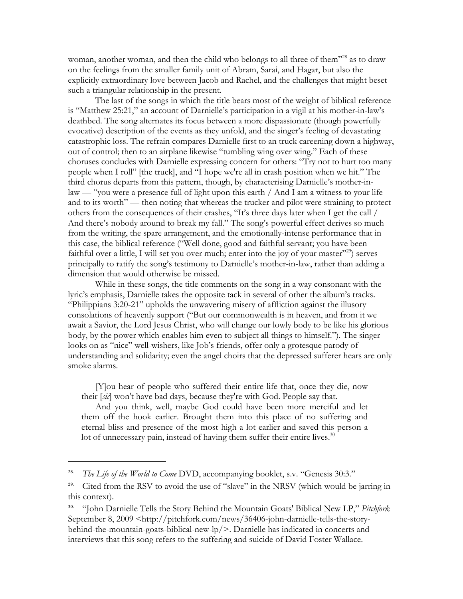woman, another woman, and then the child who belongs to all three of them"<sup>28</sup> as to draw on the feelings from the smaller family unit of Abram, Sarai, and Hagar, but also the explicitly extraordinary love between Jacob and Rachel, and the challenges that might beset such a triangular relationship in the present.

The last of the songs in which the title bears most of the weight of biblical reference is "Matthew 25:21," an account of Darnielle's participation in a vigil at his mother-in-law's deathbed. The song alternates its focus between a more dispassionate (though powerfully evocative) description of the events as they unfold, and the singer's feeling of devastating catastrophic loss. The refrain compares Darnielle first to an truck careening down a highway, out of control; then to an airplane likewise "tumbling wing over wing." Each of these choruses concludes with Darnielle expressing concern for others: "Try not to hurt too many people when I roll" [the truck], and "I hope we're all in crash position when we hit." The third chorus departs from this pattern, though, by characterising Darnielle's mother-inlaw — "you were a presence full of light upon this earth / And I am a witness to your life and to its worth" — then noting that whereas the trucker and pilot were straining to protect others from the consequences of their crashes, "It's three days later when I get the call / And there's nobody around to break my fall." The song's powerful effect derives so much from the writing, the spare arrangement, and the emotionally-intense performance that in this case, the biblical reference ("Well done, good and faithful servant; you have been faithful over a little, I will set you over much; enter into the joy of your master"<sup>29</sup>) serves principally to ratify the song's testimony to Darnielle's mother-in-law, rather than adding a dimension that would otherwise be missed.

While in these songs, the title comments on the song in a way consonant with the lyric's emphasis, Darnielle takes the opposite tack in several of other the album's tracks. "Philippians 3:20-21" upholds the unwavering misery of affliction against the illusory consolations of heavenly support ("But our commonwealth is in heaven, and from it we await a Savior, the Lord Jesus Christ, who will change our lowly body to be like his glorious body, by the power which enables him even to subject all things to himself."). The singer looks on as "nice" well-wishers, like Job's friends, offer only a grotesque parody of understanding and solidarity; even the angel choirs that the depressed sufferer hears are only smoke alarms.

[Y]ou hear of people who suffered their entire life that, once they die, now their [*sic*] won't have bad days, because they're with God. People say that.

And you think, well, maybe God could have been more merciful and let them off the hook earlier. Brought them into this place of no suffering and eternal bliss and presence of the most high a lot earlier and saved this person a lot of unnecessary pain, instead of having them suffer their entire lives.<sup>30</sup>

<sup>&</sup>lt;sup>28.</sup> *The Life of the World to Come DVD*, accompanying booklet, s.v. "Genesis 30:3."

<sup>&</sup>lt;sup>29.</sup> Cited from the RSV to avoid the use of "slave" in the NRSV (which would be jarring in this context).

<sup>30.</sup> "John Darnielle Tells the Story Behind the Mountain Goats' Biblical New LP," *Pitchfork* September 8, 2009 <http://pitchfork.com/news/36406-john-darnielle-tells-the-storybehind-the-mountain-goats-biblical-new-lp/>. Darnielle has indicated in concerts and interviews that this song refers to the suffering and suicide of David Foster Wallace.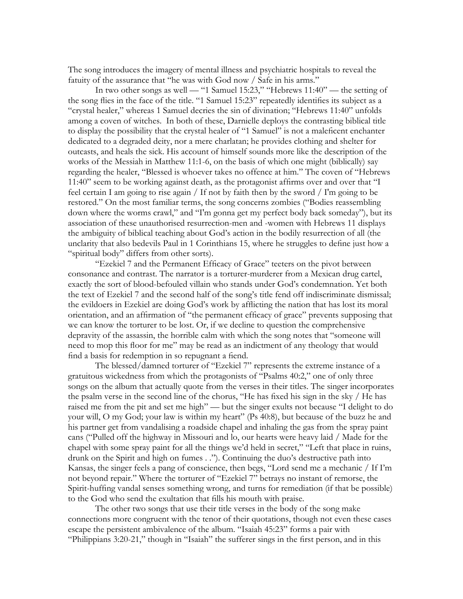The song introduces the imagery of mental illness and psychiatric hospitals to reveal the fatuity of the assurance that "he was with God now / Safe in his arms."

In two other songs as well — "1 Samuel 15:23," "Hebrews 11:40" — the setting of the song flies in the face of the title. "1 Samuel 15:23" repeatedly identifies its subject as a "crystal healer," whereas 1 Samuel decries the sin of divination; "Hebrews 11:40" unfolds among a coven of witches. In both of these, Darnielle deploys the contrasting biblical title to display the possibility that the crystal healer of "1 Samuel" is not a maleficent enchanter dedicated to a degraded deity, nor a mere charlatan; he provides clothing and shelter for outcasts, and heals the sick. His account of himself sounds more like the description of the works of the Messiah in Matthew 11:1-6, on the basis of which one might (biblically) say regarding the healer, "Blessed is whoever takes no offence at him." The coven of "Hebrews 11:40" seem to be working against death, as the protagonist affirms over and over that "I feel certain I am going to rise again / If not by faith then by the sword / I'm going to be restored." On the most familiar terms, the song concerns zombies ("Bodies reassembling down where the worms crawl," and "I'm gonna get my perfect body back someday"), but its association of these unauthorised resurrection-men and -women with Hebrews 11 displays the ambiguity of biblical teaching about God's action in the bodily resurrection of all (the unclarity that also bedevils Paul in 1 Corinthians 15, where he struggles to define just how a "spiritual body" differs from other sorts).

"Ezekiel 7 and the Permanent Efficacy of Grace" teeters on the pivot between consonance and contrast. The narrator is a torturer-murderer from a Mexican drug cartel, exactly the sort of blood-befouled villain who stands under God's condemnation. Yet both the text of Ezekiel 7 and the second half of the song's title fend off indiscriminate dismissal; the evildoers in Ezekiel are doing God's work by afflicting the nation that has lost its moral orientation, and an affirmation of "the permanent efficacy of grace" prevents supposing that we can know the torturer to be lost. Or, if we decline to question the comprehensive depravity of the assassin, the horrible calm with which the song notes that "someone will need to mop this floor for me" may be read as an indictment of any theology that would find a basis for redemption in so repugnant a fiend.

The blessed/damned torturer of "Ezekiel 7" represents the extreme instance of a gratuitous wickedness from which the protagonists of "Psalms 40:2," one of only three songs on the album that actually quote from the verses in their titles. The singer incorporates the psalm verse in the second line of the chorus, "He has fixed his sign in the sky / He has raised me from the pit and set me high" — but the singer exults not because "I delight to do your will, O my God; your law is within my heart" (Ps 40:8), but because of the buzz he and his partner get from vandalising a roadside chapel and inhaling the gas from the spray paint cans ("Pulled off the highway in Missouri and lo, our hearts were heavy laid / Made for the chapel with some spray paint for all the things we'd held in secret," "Left that place in ruins, drunk on the Spirit and high on fumes . ."). Continuing the duo's destructive path into Kansas, the singer feels a pang of conscience, then begs, "Lord send me a mechanic / If I'm not beyond repair." Where the torturer of "Ezekiel 7" betrays no instant of remorse, the Spirit-huffing vandal senses something wrong, and turns for remediation (if that be possible) to the God who send the exultation that fills his mouth with praise.

The other two songs that use their title verses in the body of the song make connections more congruent with the tenor of their quotations, though not even these cases escape the persistent ambivalence of the album. "Isaiah 45:23" forms a pair with "Philippians 3:20-21," though in "Isaiah" the sufferer sings in the first person, and in this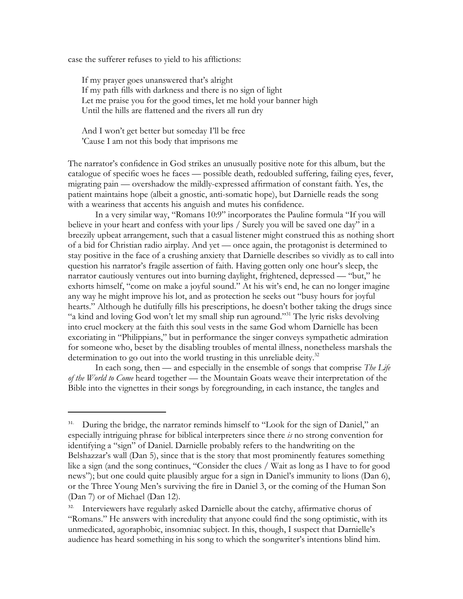case the sufferer refuses to yield to his afflictions:

If my prayer goes unanswered that's alright If my path fills with darkness and there is no sign of light Let me praise you for the good times, let me hold your banner high Until the hills are flattened and the rivers all run dry

And I won't get better but someday I'll be free 'Cause I am not this body that imprisons me

The narrator's confidence in God strikes an unusually positive note for this album, but the catalogue of specific woes he faces — possible death, redoubled suffering, failing eyes, fever, migrating pain — overshadow the mildly-expressed affirmation of constant faith. Yes, the patient maintains hope (albeit a gnostic, anti-somatic hope), but Darnielle reads the song with a weariness that accents his anguish and mutes his confidence.

In a very similar way, "Romans 10:9" incorporates the Pauline formula "If you will believe in your heart and confess with your lips / Surely you will be saved one day" in a breezily upbeat arrangement, such that a casual listener might construed this as nothing short of a bid for Christian radio airplay. And yet — once again, the protagonist is determined to stay positive in the face of a crushing anxiety that Darnielle describes so vividly as to call into question his narrator's fragile assertion of faith. Having gotten only one hour's sleep, the narrator cautiously ventures out into burning daylight, frightened, depressed — "but," he exhorts himself, "come on make a joyful sound." At his wit's end, he can no longer imagine any way he might improve his lot, and as protection he seeks out "busy hours for joyful hearts." Although he dutifully fills his prescriptions, he doesn't bother taking the drugs since "a kind and loving God won't let my small ship run aground."31 The lyric risks devolving into cruel mockery at the faith this soul vests in the same God whom Darnielle has been excoriating in "Philippians," but in performance the singer conveys sympathetic admiration for someone who, beset by the disabling troubles of mental illness, nonetheless marshals the determination to go out into the world trusting in this unreliable deity.<sup>32</sup>

In each song, then — and especially in the ensemble of songs that comprise *The Life of the World to Come* heard together — the Mountain Goats weave their interpretation of the Bible into the vignettes in their songs by foregrounding, in each instance, the tangles and

During the bridge, the narrator reminds himself to "Look for the sign of Daniel," an especially intriguing phrase for biblical interpreters since there *is* no strong convention for identifying a "sign" of Daniel. Darnielle probably refers to the handwriting on the Belshazzar's wall (Dan 5), since that is the story that most prominently features something like a sign (and the song continues, "Consider the clues / Wait as long as I have to for good news"); but one could quite plausibly argue for a sign in Daniel's immunity to lions (Dan 6), or the Three Young Men's surviving the fire in Daniel 3, or the coming of the Human Son (Dan 7) or of Michael (Dan 12).

<sup>&</sup>lt;sup>32.</sup> Interviewers have regularly asked Darnielle about the catchy, affirmative chorus of "Romans." He answers with incredulity that anyone could find the song optimistic, with its unmedicated, agoraphobic, insomniac subject. In this, though, I suspect that Darnielle's audience has heard something in his song to which the songwriter's intentions blind him.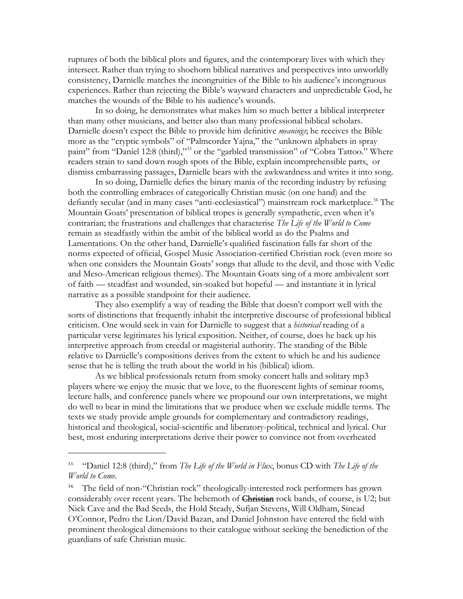ruptures of both the biblical plots and figures, and the contemporary lives with which they intersect. Rather than trying to shoehorn biblical narratives and perspectives into unworldly consistency, Darnielle matches the incongruities of the Bible to his audience's incongruous experiences. Rather than rejecting the Bible's wayward characters and unpredictable God, he matches the wounds of the Bible to his audience's wounds.

In so doing, he demonstrates what makes him so much better a biblical interpreter than many other musicians, and better also than many professional biblical scholars. Darnielle doesn't expect the Bible to provide him definitive *meanings*; he receives the Bible more as the "cryptic symbols" of "Palmcorder Yajna," the "unknown alphabets in spray paint" from "Daniel 12:8 (third),"<sup>33</sup> or the "garbled transmission" of "Cobra Tattoo." Where readers strain to sand down rough spots of the Bible, explain incomprehensible parts, or dismiss embarrassing passages, Darnielle bears with the awkwardness and writes it into song.

In so doing, Darnielle defies the binary mania of the recording industry by refusing both the controlling embraces of categorically Christian music (on one hand) and the defiantly secular (and in many cases "anti-ecclesiastical") mainstream rock marketplace.<sup>34</sup> The Mountain Goats' presentation of biblical tropes is generally sympathetic, even when it's contrarian; the frustrations and challenges that characterise *The Life of the World to Come* remain as steadfastly within the ambit of the biblical world as do the Psalms and Lamentations. On the other hand, Darnielle's qualified fascination falls far short of the norms expected of official, Gospel Music Association-certified Christian rock (even more so when one considers the Mountain Goats' songs that allude to the devil, and those with Vedic and Meso-American religious themes). The Mountain Goats sing of a more ambivalent sort of faith — steadfast and wounded, sin-soaked but hopeful — and instantiate it in lyrical narrative as a possible standpoint for their audience.

They also exemplify a way of reading the Bible that doesn't comport well with the sorts of distinctions that frequently inhabit the interpretive discourse of professional biblical criticism. One would seek in vain for Darnielle to suggest that a *historical* reading of a particular verse legitimates his lyrical exposition. Neither, of course, does he back up his interpretive approach from creedal or magisterial authority. The standing of the Bible relative to Darnielle's compositions derives from the extent to which he and his audience sense that he is telling the truth about the world in his (biblical) idiom.

As we biblical professionals return from smoky concert halls and solitary mp3 players where we enjoy the music that we love, to the fluorescent lights of seminar rooms, lecture halls, and conference panels where we propound our own interpretations, we might do well to bear in mind the limitations that we produce when we exclude middle terms. The texts we study provide ample grounds for complementary and contradictory readings, historical and theological, social-scientific and liberatory-political, technical and lyrical. Our best, most enduring interpretations derive their power to convince not from overheated

<sup>33.</sup> "Daniel 12:8 (third)," from *The Life of the World in Flux*, bonus CD with *The Life of the World to Come*.

<sup>&</sup>lt;sup>34.</sup> The field of non-"Christian rock" theologically-interested rock performers has grown considerably over recent years. The behemoth of Christian rock bands, of course, is U2; but Nick Cave and the Bad Seeds, the Hold Steady, Sufjan Stevens, Will Oldham, Sinead O'Connor, Pedro the Lion/David Bazan, and Daniel Johnston have entered the field with prominent theological dimensions to their catalogue without seeking the benediction of the guardians of safe Christian music.